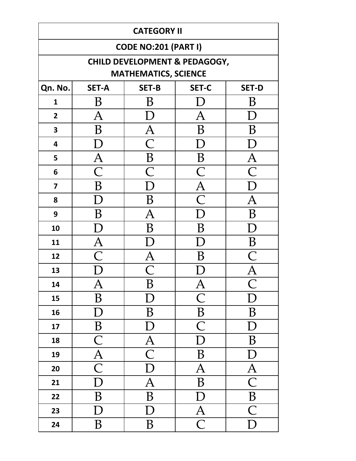| <b>CATEGORY II</b> |                                                              |                             |                                          |                          |  |  |  |
|--------------------|--------------------------------------------------------------|-----------------------------|------------------------------------------|--------------------------|--|--|--|
|                    |                                                              | <b>CODE NO:201 (PART I)</b> |                                          |                          |  |  |  |
|                    |                                                              |                             | <b>CHILD DEVELOPMENT &amp; PEDAGOGY,</b> |                          |  |  |  |
|                    |                                                              | <b>MATHEMATICS, SCIENCE</b> |                                          |                          |  |  |  |
| Qn. No.            | <b>SET-B</b><br><b>SET-C</b><br><b>SET-A</b><br><b>SET-D</b> |                             |                                          |                          |  |  |  |
| $\mathbf{1}$       | В                                                            | Β                           |                                          | Β                        |  |  |  |
| $2^{\circ}$        | Α                                                            |                             | A                                        | I)                       |  |  |  |
| 3                  | B                                                            | $\bm{\mathsf{A}}$           | B                                        | B                        |  |  |  |
| 4                  | I)                                                           | $\overline{\mathsf{C}}$     | D                                        | I)                       |  |  |  |
| 5                  | $\bm{\mathsf{A}}$                                            | $\boldsymbol{B}$            | $\, {\bf B}$                             | $\bm{\mathsf{A}}$        |  |  |  |
| 6                  | $\overline{\mathsf{C}}$                                      | $\overline{\mathsf{C}}$     | $\overline{\mathsf{C}}$                  | $\overline{\mathsf{C}}$  |  |  |  |
| $\overline{7}$     | B                                                            | ${\rm D}$                   | $\overline{\mathrm{A}}$                  | D                        |  |  |  |
| 8                  | D                                                            | B                           | $\overline{C}$                           | $\bm{\mathsf{A}}$        |  |  |  |
| 9                  | B                                                            | $\bm{\mathsf{A}}$           | D                                        | B                        |  |  |  |
| 10                 | I)                                                           | B                           | B                                        | D                        |  |  |  |
| 11                 | $\bm{\mathsf{A}}$                                            |                             | I)                                       | $\boldsymbol{B}$         |  |  |  |
| 12                 | $\bigcap$                                                    | A                           | B                                        |                          |  |  |  |
| 13                 |                                                              | $\bigcap$                   |                                          |                          |  |  |  |
| 14                 | $\bm{A}$                                                     | B                           | $\mathbf{A}$                             |                          |  |  |  |
| 15                 | B                                                            | D                           | $\overline{\mathsf{C}}$                  | Г                        |  |  |  |
| 16                 | D                                                            | B                           | $\boldsymbol{B}$                         | B                        |  |  |  |
| 17                 | B                                                            | D                           | $\overline{\mathsf{C}}$                  | D                        |  |  |  |
| 18                 | $\overline{\mathsf{C}}$                                      | $\overline{A}$              | D                                        | B                        |  |  |  |
| 19                 | $\frac{\overline{A}}{C}$                                     | $\overline{\mathsf{C}}$     | B                                        | D                        |  |  |  |
| 20                 |                                                              | D                           | $\overline{A}$                           | $\frac{\overline{A}}{C}$ |  |  |  |
| 21                 | $\overline{D}$                                               | $\overline{A}$              | $\overline{B}$                           |                          |  |  |  |
| 22                 | B                                                            | $\overline{B}$              | $\overline{\rm D}$                       | $\overline{B}$           |  |  |  |
| 23                 | $\mathbf D$                                                  | $\overline{D}$              | $\overline{A}$                           | $\overline{\mathsf{C}}$  |  |  |  |
| 24                 | B                                                            | B                           | $\overline{\mathsf{C}}$                  | D                        |  |  |  |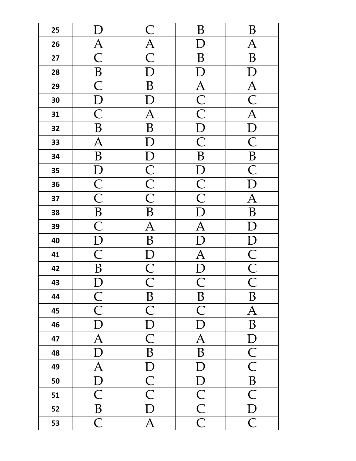| 25 |                                     |                                                         | Β                                  | B                           |
|----|-------------------------------------|---------------------------------------------------------|------------------------------------|-----------------------------|
| 26 |                                     | $\frac{\text{C}}{\text{A}}$ $\frac{\text{C}}{\text{D}}$ |                                    | $\overline{\mathrm{A}}$     |
| 27 | $\frac{\overline{A}}{C}$            |                                                         | B                                  | B                           |
| 28 | $\frac{\overline{B}}{\overline{C}}$ |                                                         | $\boldsymbol{\mathrm{D}}$          | $\boldsymbol{\mathrm{D}}$   |
| 29 |                                     | $\overline{B}$                                          |                                    | $\overline{\mathbf{A}}$     |
| 30 | $\frac{\overline{D}}{C}$            | $\mathbf{D}$                                            | $\frac{A}{C}$                      | $\overline{\text{C}}$       |
| 31 |                                     | $\overline{A}$                                          |                                    | $\overline{A}$              |
| 32 | $\, {\bf B}$                        | $\overline{B}$                                          | $\overline{D}$                     | $\overline{D}$              |
| 33 | $\overline{A}$                      | $\overline{\rm D}$                                      | $\overline{\mathsf{C}}$            | $\overline{\mathsf{C}}$     |
| 34 | $\overline{B}$                      |                                                         | B                                  | $\overline{B}$              |
| 35 |                                     |                                                         | $\overline{D}$                     | $\overline{\text{C}}$       |
| 36 | $\frac{\overline{D}}{C}$            | $D$ $C$ $C$ $D$ $B$                                     | $\overline{\frac{C}{C}}$           | $\overline{\mathsf{D}}$     |
| 37 |                                     |                                                         |                                    | $\overline{\mathbf{A}}$     |
| 38 | $\frac{\overline{B}}{C}$            |                                                         | $\bar{\text{D}}$                   | $\, {\bf B}$                |
| 39 |                                     | $\overline{A}$                                          | $\overline{A}$                     | D                           |
| 40 | $\frac{\overline{D}}{C}$            | $\overline{B}$                                          | $\overline{\overline{\mathsf{D}}}$ |                             |
| 41 |                                     |                                                         | $\overline{\mathbf{A}}$            |                             |
| 42 | $\overline{B}$                      | $\frac{\text{D}}{\text{C}}$                             | $\overline{D}$                     | $\frac{D}{C}$ $\frac{C}{C}$ |
| 43 | D                                   |                                                         | $\overline{\textsf{C}}$            |                             |
| 44 | $\overline{\frac{C}{C}}$            | $\boldsymbol{B}$                                        | $\boldsymbol{B}$                   | $\boldsymbol{B}$            |
| 45 |                                     | $\overline{\mathsf{C}}$                                 | $\overline{C}$                     | $\overline{A}$              |
| 46 | $\overline{\mathrm{D}}$             | $\overline{\underline{D}}$                              | $\overline{D}$                     | $\, {\bf B}$                |
| 47 | $\overline{A}$                      | $\overline{\mathsf{C}}$                                 | $\overline{\mathbf{A}}$            | $\mathbf{D}$                |
| 48 | $\overline{\mathrm{D}}$             | $\overline{\mathbf{B}}$                                 | $\overline{B}$                     | $\overline{\text{C}}$       |
| 49 | $\overline{A}$                      | $\overline{D}$                                          | $\overline{\mathrm{D}}$            | $\overline{\mathsf{C}}$     |
| 50 | $\overline{\mathrm{D}}$             | $\overline{\frac{C}{C}}$                                | $\overline{\mathrm{D}}$            | $\overline{B}$              |
| 51 | $\overline{\mathsf{C}}$             |                                                         |                                    | $\overline{\mathsf{C}}$     |
| 52 | $\overline{B}$                      | $\overline{\mathrm{D}}$                                 | $\overline{\frac{C}{C}}$           | $\mathbf{D}$                |
| 53 | $\overline{\mathsf{C}}$             | $\overline{A}$                                          |                                    | $\overline{\overline{C}}$   |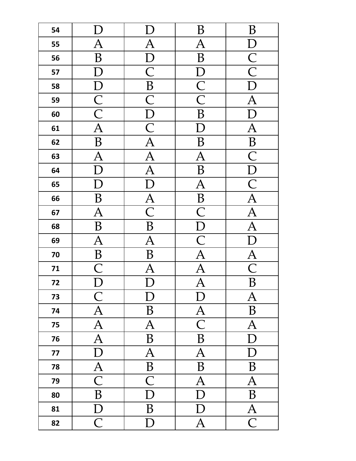| 54 |                          |                                     | B                                  | B                                      |
|----|--------------------------|-------------------------------------|------------------------------------|----------------------------------------|
| 55 | $\overline{A}$           | $\overline{A}$                      | $\overline{\mathrm{A}}$            | $\mathbf{D}$                           |
| 56 | B                        | $\overline{D}$                      | $\overline{B}$                     | $\overline{\frac{\text{C}}{\text{C}}}$ |
| 57 | D                        | $\overline{\mathsf{C}}$             | $\overline{D}$                     |                                        |
| 58 |                          | $\overline{B}$                      | $\overline{\frac{C}{C}}$           | $\overline{\mathrm{D}}$                |
| 59 | $\frac{\overline{D}}{C}$ | $\overline{\text{C}}$               |                                    | $\overline{A}$                         |
| 60 |                          | $\overline{D}$                      | B                                  | $\overline{D}$                         |
| 61 | $\overline{A}$           | $\frac{\overline{C}}{\overline{A}}$ | $\bm{\mathrm{D}}$                  | $\overline{A}$                         |
| 62 | $\overline{B}$           |                                     | B                                  | $\overline{B}$                         |
| 63 | $\overline{\mathsf{A}}$  | $\overline{A}$<br>$\overline{A}$    | $\overline{A}$                     | $\overline{\text{C}}$                  |
| 64 | D                        |                                     | $\overline{B}$                     | $\overline{D}$                         |
| 65 | $\bm{\mathrm{D}}$        | $\overline{D}$                      | $\overline{A}$                     | $\overline{\text{C}}$                  |
| 66 | B                        | $\overline{\frac{A}{C}}$            | $\overline{B}$                     | $\overline{\frac{A}{A}}$               |
| 67 | $\overline{\mathbf{A}}$  |                                     | $\overline{\overline{\mathsf{C}}}$ |                                        |
| 68 | $\overline{B}$           | $\overline{B}$                      | $\frac{\overline{D}}{C}$           | $\overline{A}$                         |
| 69 | $\overline{A}$           | $\overline{\mathbf{A}}$             |                                    | $\overline{D}$                         |
| 70 | $\overline{B}$           | $\overline{B}$                      | $\overline{A}$                     | $\overline{\frac{A}{C}}$               |
| 71 | $\overline{\mathsf{C}}$  | $\overline{\mathsf{A}}$             | $\overline{\overline{\bm A}}$      |                                        |
| 72 | D                        | $\mathbf{D}$                        | $\overline{A}$                     | $\overline{B}$                         |
| 73 | $\mathsf{C}% _{0}$       | D                                   | $\mathbf D$                        | $\overline{A}$                         |
| 74 | $\overline{\mathbf{A}}$  | $\, {\bf B}$                        | $\overline{A}$                     | $\, {\bf B}$                           |
| 75 | $\overline{\mathbf{A}}$  | $\overline{A}$                      | $\overline{\mathsf{C}}$            | $\overline{A}$                         |
| 76 | $\overline{A}$           | $\, {\bf B}$                        | $\overline{B}$                     | D                                      |
| 77 | $\overline{\mathrm{D}}$  | $\overline{A}$                      | $\overline{A}$                     | D                                      |
| 78 | $\overline{A}$           | $\overline{B}$                      | $\overline{B}$                     | B                                      |
| 79 | $\overline{\mathsf{C}}$  | $\overline{\mathsf{C}}$             | $\overline{A}$                     | $\overline{A}$                         |
| 80 | $\, {\bf B}$             | $\overline{D}$                      | $\overline{D}$                     | B                                      |
| 81 | D                        | B                                   | D                                  | $\overline{A}$                         |
| 82 | $\overline{\mathsf{C}}$  | D                                   | $\overline{A}$                     | $\overline{\mathsf{C}}$                |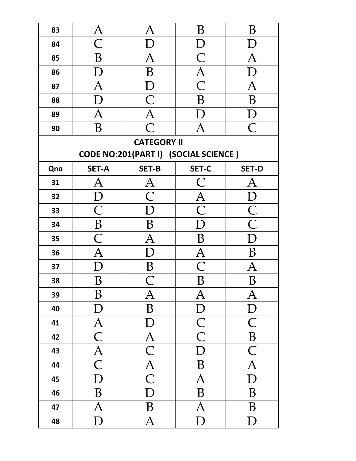| 83  | $\bm{\mathrm{A}}$       | $\bm{\mathsf{A}}$                    | B                                   | Β                                      |
|-----|-------------------------|--------------------------------------|-------------------------------------|----------------------------------------|
| 84  | $\overline{\mathsf{C}}$ | D                                    | D                                   |                                        |
| 85  | B                       | $\overline{A}$                       | $\frac{\overline{C}}{\overline{A}}$ | $\overline{\rm A}$                     |
| 86  |                         | B                                    |                                     | D                                      |
| 87  | $\overline{A}$          | $\mathbf{D}$                         | $\overline{\mathsf{C}}$             | $\overline{A}$                         |
| 88  | ${\rm D}$               | $\frac{\overline{C}}{\overline{A}}$  | B                                   | B                                      |
| 89  | $\overline{A}$          |                                      | D                                   | D                                      |
| 90  | B                       | $\overline{\mathsf{C}}$              | $\overline{A}$                      | $\overline{C}$                         |
|     |                         | <b>CATEGORY II</b>                   |                                     |                                        |
|     |                         | CODE NO:201(PART I) (SOCIAL SCIENCE) |                                     |                                        |
| Qno | <b>SET-A</b>            | <b>SET-B</b>                         | <b>SET-C</b>                        | <b>SET-D</b>                           |
| 31  | А                       | $\bm{\mathsf{A}}$                    | $\subset$                           | A                                      |
| 32  | I)                      | $\overline{\mathsf{C}}$              | $\overline{\mathrm{A}}$             | D                                      |
| 33  | $\overline{\mathsf{C}}$ | D                                    | $\overline{\text{C}}$               | $\overline{\frac{\text{C}}{\text{C}}}$ |
| 34  | $\, {\bf B}$            | B                                    | D                                   |                                        |
| 35  | $\overline{\mathsf{C}}$ | $\overline{\mathrm{A}}$              | B                                   | D                                      |
| 36  | $\overline{\mathrm{A}}$ | D                                    | $\overline{\mathrm{A}}$             | B                                      |
| 37  | D                       | B                                    | $\overline{\textsf{C}}$             | A                                      |
| 38  | B                       |                                      | B                                   | B                                      |
| 39  | B                       | $\bm{\mathsf{A}}$                    | Ą                                   | $\bm{\mathsf{A}}$                      |
| 40  | $\mathbf D$             | $\, {\bf B}$                         | $\mathbf{D}$                        | $\mathbf{D}$                           |
| 41  | $\overline{A}$          | $\mathbf{D}$                         | $\overline{C}$                      | $\overline{C}$                         |
| 42  | $\overline{\mathsf{C}}$ | $\mathbf{A}$                         | $\overline{\text{C}}$               | $\overline{B}$                         |
| 43  | $\overline{A}$          | $\overline{\mathsf{C}}$              | $\mathbf{D}$                        | $\overline{C}$                         |
| 44  | $\overline{\mathsf{C}}$ | $\overline{A}$                       | $\boldsymbol{B}$                    | $\overline{A}$                         |
| 45  | $\overline{\mathrm{D}}$ | $\overline{\mathsf{C}}$              | $\overline{A}$                      | $\mathbf{D}$                           |
| 46  | B                       | $\overline{D}$                       | B                                   | B                                      |
| 47  | $\overline{A}$          | B                                    | $\overline{A}$                      | B                                      |
| 48  | $\mathbf D$             | $\mathbf{A}$                         | $\mathbf D$                         | D                                      |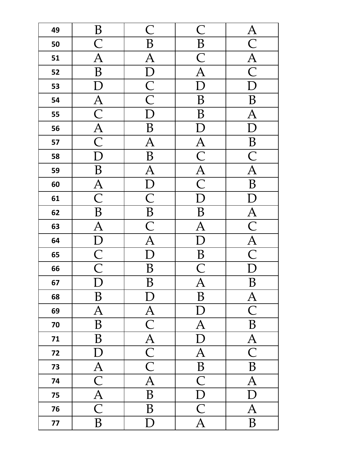| 49 | B                                   | $\overline{\mathsf{C}}$                 | $\overline{\mathsf{C}}$                | $\overline{A}$           |
|----|-------------------------------------|-----------------------------------------|----------------------------------------|--------------------------|
| 50 | $\overline{\mathsf{C}}$             | B                                       | $\overline{B}$                         | $\overline{\mathsf{C}}$  |
| 51 | $\overline{\mathrm{A}}$             | $\overline{\mathrm{A}}$                 | $\overline{\mathsf{C}}$                | $\overline{A}$           |
| 52 | B                                   | $\bm{\mathrm{D}}$                       | $\overline{\mathbf{A}}$                | $\overline{\mathsf{C}}$  |
| 53 |                                     |                                         | $\overline{\rm D}$                     | $\overline{\mathsf{D}}$  |
| 54 |                                     | $\overline{\frac{\text{C}}{\text{C}}}}$ | B                                      | B                        |
| 55 | $\frac{A}{C}$<br>$\frac{A}{C}$      |                                         | B                                      | $\overline{\mathsf{A}}$  |
| 56 |                                     | B                                       | $\overline{\rm D}$                     | $\overline{\rm D}$       |
| 57 |                                     | $\overline{\mathbf{A}}$                 |                                        | $\overline{B}$           |
| 58 | $\overline{\rm D}$                  | $\overline{B}$                          | $\overline{\frac{\text{A}}{\text{C}}}$ | $\overline{\mathsf{C}}$  |
| 59 | $\bf{B}$                            | $\overline{A}$                          |                                        | $\overline{A}$           |
| 60 | $\frac{\overline{A}}{C}$            | $\frac{\overline{D}}{C}$                | $\overline{\frac{A}{C}}$               | B                        |
| 61 |                                     |                                         | $\overline{\mathsf{D}}$                | $\Gamma$                 |
| 62 | $\overline{B}$                      |                                         | B                                      | $\overline{\mathbf{A}}$  |
| 63 | $\overline{A}$                      | $rac{\overline{B}}{\overline{C}}$       | $\overline{A}$                         | $\overline{\text{C}}$    |
| 64 | $\frac{\overline{D}}{\overline{C}}$ |                                         | $\overline{\mathsf{D}}$                | $\frac{\overline{A}}{C}$ |
| 65 |                                     | $\overline{\overline{\mathrm{D}}}$      | $\overline{B}$                         |                          |
| 66 |                                     | $\bf{B}$                                | $\overline{\text{C}}$                  | $\overline{D}$           |
| 67 | $\overline{D}$                      | $\overline{B}$                          | $\overline{A}$                         | $\overline{B}$           |
| 68 | $\, {\bf B}$                        | $\mathbf{D}$                            | B                                      | $\overline{A}$           |
| 69 | $\overline{A}$                      | $\frac{\overline{A}}{\overline{C}}$     | D                                      | $\overline{\mathsf{C}}$  |
| 70 | $\overline{B}$                      |                                         | $\overline{A}$                         | $\overline{B}$           |
| 71 | $\, {\bf B}$                        | $\frac{\overline{A}}{\overline{C}}$     | $\overline{D}$                         | $\overline{\mathbf{A}}$  |
| 72 | D                                   |                                         | $\overline{A}$                         | $\overline{\mathsf{C}}$  |
| 73 | $\overline{A}$                      |                                         | $\overline{B}$                         | $\overline{B}$           |
| 74 | $\overline{\mathsf{C}}$             | $\overline{A}$                          | $\overline{\mathsf{C}}$                | $\overline{A}$           |
| 75 | $\overline{A}$                      | $\overline{B}$                          | $\overline{D}$                         | $\overline{\mathrm{D}}$  |
| 76 | $\overline{\mathsf{C}}$             | B                                       | $\overline{\text{C}}$                  | $\overline{\mathrm{A}}$  |
| 77 | B                                   | $\mathbf D$                             | $\overline{A}$                         | $\, {\bf B}$             |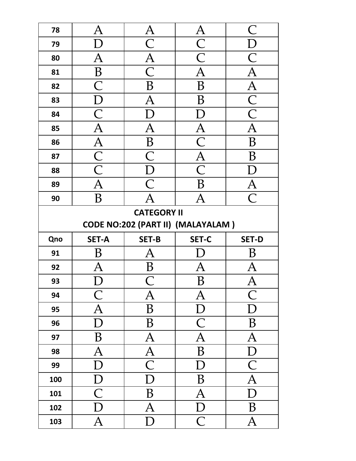| 78                                       | $\bm{\mathsf{A}}$                                                       | $\mathbf{A}$                               | $\overline{A}$                            | $\, C \,$                                 |  |
|------------------------------------------|-------------------------------------------------------------------------|--------------------------------------------|-------------------------------------------|-------------------------------------------|--|
| 79                                       | D                                                                       | $\overline{\mathsf{C}}$                    | $\overline{\frac{C}{C}}$                  | D                                         |  |
| 80                                       | $\overline{\rm A}$                                                      | $\overline{A}$                             |                                           | $\overline{\mathsf{C}}$                   |  |
| 81                                       | $\, {\bf B}$                                                            | $\overline{\mathsf{C}}$                    | $\overline{\rm A}$                        | $\overline{A}$                            |  |
| 82                                       | $\overline{\mathsf{C}}$                                                 | B                                          | B                                         | $\overline{A}$                            |  |
| 83                                       | $\mathbf{D}$                                                            | $\overline{A}$                             | B                                         |                                           |  |
| 84                                       | $\overline{\text{C}}$                                                   | D                                          | Г                                         | $\overline{\frac{C}{C}}$                  |  |
| 85                                       | $\overline{A}$                                                          | $\overline{A}$                             | $\overline{A}$                            | $\overline{\overline{\rm{A}}}$            |  |
| 86                                       |                                                                         | $\overline{B}$                             | $\overline{\text{C}}$                     | B                                         |  |
| 87                                       | $\frac{\overline{A}}{\overline{C}}$ $\frac{\overline{C}}{\overline{A}}$ | $\overline{\text{C}}$                      | $\overline{A}$                            | B                                         |  |
| 88                                       |                                                                         | $\overline{D}$                             | $\overline{\overline{\mathsf{C}}}$        | $\Gamma$                                  |  |
| 89                                       |                                                                         | $\overline{C}$                             | B                                         | $\overline{A}$                            |  |
| 90                                       | B                                                                       | $\overline{\overline{\rm{A}}}$             | $\overline{\mathrm{A}}$                   | $\overline{\bigcap}$                      |  |
|                                          |                                                                         | <b>CATEGORY II</b>                         |                                           |                                           |  |
| <b>CODE NO:202 (PART II) (MALAYALAM)</b> |                                                                         |                                            |                                           |                                           |  |
|                                          |                                                                         |                                            |                                           |                                           |  |
| Qno                                      | <b>SET-A</b>                                                            | <b>SET-B</b>                               | <b>SET-C</b>                              | <b>SET-D</b>                              |  |
| 91                                       |                                                                         | Ą                                          |                                           |                                           |  |
| 92                                       | A                                                                       |                                            | A                                         | Ą                                         |  |
| 93                                       | ◡                                                                       |                                            | $\bf{B}$                                  | T T                                       |  |
| 94                                       | $\mathsf C$                                                             | $\mathbf{A}$                               | $\mathbf A$                               | $\mathsf{C}$                              |  |
| 95                                       | $\mathbf{A}$                                                            | $\, {\bf B}$                               |                                           | $\mathbf{D}$                              |  |
| 96                                       | D                                                                       | B                                          | $\overline{D}$<br>$\overline{\mathsf{C}}$ | $\, {\bf B}$                              |  |
| 97                                       | $\, {\bf B}$                                                            | $\mathbf{A}$                               | $\overline{A}$                            | $\overline{A}$                            |  |
| 98                                       | $\mathbf{A}$                                                            |                                            | $\, {\bf B}$                              |                                           |  |
| 99                                       | $\mathbf D$                                                             |                                            | $\mathbf D$                               | $\overline{D}$<br>$\overline{\mathsf{C}}$ |  |
| 100                                      |                                                                         | $\frac{\overline{A}}{C}$<br>$\overline{D}$ | $\, {\bf B}$                              | $\overline{A}$                            |  |
| 101                                      | $\overline{D}$<br>$\overline{\mathsf{C}}$                               | $\, {\bf B}$                               | $\overline{A}$                            | $\overline{D}$                            |  |
| 102                                      | D                                                                       | $\overline{A}$                             | $\mathbf{D}$<br>$\overline{\mathsf{C}}$   | B                                         |  |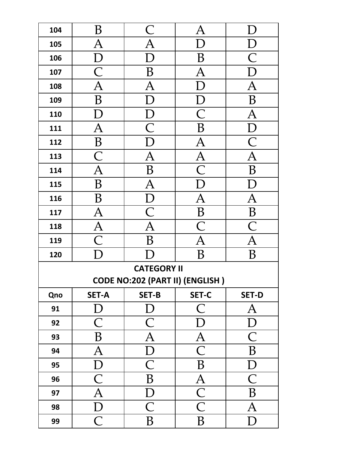| 104 | B                              | $\mathsf{C}% _{M_{1},M_{2}}^{\alpha,\beta}(\mathbb{R}^{2})$ | $\overline{A}$          | Г                         |
|-----|--------------------------------|-------------------------------------------------------------|-------------------------|---------------------------|
| 105 | $\overline{A}$                 | $\overline{\mathbf{A}}$                                     | D                       | $\bm{\mathrm{D}}$         |
| 106 | $\mathbf{D}$                   | $\overline{D}$                                              | B                       | $\overline{\mathsf{C}}$   |
| 107 | $\overline{\mathsf{C}}$        | $\, {\bf B}$                                                | $\overline{A}$          | $\Gamma$                  |
| 108 | $\overline{\overline{\rm{A}}}$ | $\overline{\mathbf{A}}$                                     | $\overline{\rm D}$      | $\overline{\bm{A}}$       |
| 109 | $\overline{B}$                 | $\overline{\mathrm{D}}$                                     | $\rm D$                 | $\overline{B}$            |
| 110 | $\boldsymbol{\rm D}$           |                                                             | $\overline{\mathsf{C}}$ | $\overline{\mathbf{A}}$   |
| 111 | $\overline{A}$                 | $\frac{D}{C}$                                               | $\overline{B}$          | $\overline{D}$            |
| 112 | $\overline{B}$                 | $\overline{\overline{\mathrm{D}}}$                          | $\overline{A}$          | $\overline{\mathsf{C}}$   |
| 113 | $\overline{\text{C}}$          | $\overline{A}$                                              | $\overline{A}$          | $\overline{A}$            |
| 114 | $\overline{\text{A}}$          | $\overline{B}$                                              | $\overline{\mathsf{C}}$ | B                         |
| 115 | B                              | $\overline{A}$                                              | $\overline{\mathrm{D}}$ | $\mathop{\rm D}\nolimits$ |
| 116 | B                              | $\overline{D}$                                              | $\overline{\mathsf{A}}$ | $\overline{\mathsf{A}}$   |
| 117 | $\overline{\mathrm{A}}$        | $\overline{C}$                                              | B                       | B                         |
| 118 | $\mathbf{A}$                   | $\overline{A}$                                              | $\overline{\mathsf{C}}$ | $\overline{\mathsf{C}}$   |
| 119 | $\overline{\mathsf{C}}$        | B                                                           | $\bm{\mathsf{A}}$       | $\bm{\mathsf{A}}$         |
| 120 | $\Box$                         |                                                             | B                       | B                         |
|     |                                | <b>CATEGORY II</b>                                          |                         |                           |
|     |                                | CODE NO:202 (PART II) (ENGLISH)                             |                         |                           |
| Qno | <b>SET-A</b>                   | <b>SET-B</b>                                                | <b>SET-C</b>            | <b>SET-D</b>              |
| 91  | D                              | D                                                           | $\overline{\mathsf{C}}$ | $\bm{\mathsf{A}}$         |
| 92  | $\overline{\mathsf{C}}$        | $\overline{\mathsf{C}}$                                     | D                       | $\mathbf{D}$              |
| 93  | B                              | $\mathbf{A}$                                                | $\overline{A}$          | $\overline{C}$            |
| 94  | $\bm{\mathsf{A}}$              | $\mathbf{D}$                                                | $\overline{\mathsf{C}}$ | B                         |
| 95  | $\mathbf{D}$                   | $\overline{C}$                                              | B                       | $\mathbf{D}$              |
| 96  | $\overline{C}$                 | $\, {\bf B}$                                                | $\overline{A}$          | $\overline{C}$            |
| 97  | $\overline{A}$                 | $\mathbf{D}$                                                | $\overline{\text{C}}$   | $\boldsymbol{B}$          |
| 98  | ${\bf D}$                      | $\overline{C}$                                              | $\overline{\mathsf{C}}$ | $\overline{\mathrm{A}}$   |
| 99  | $\overline{C}$                 | $\, {\bf B}$                                                | B                       | ${\rm D}$                 |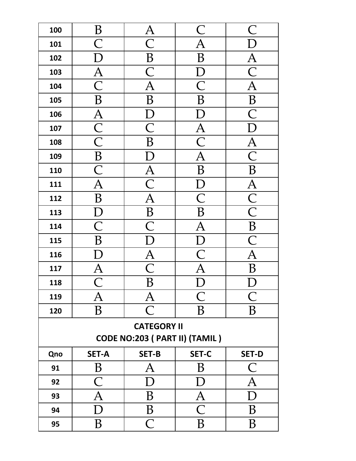| 100 | B                                  | $\overline{A}$                      | $\mathsf{C}% _{0}$       | $\overline{\mathsf{C}}$  |
|-----|------------------------------------|-------------------------------------|--------------------------|--------------------------|
| 101 | $\overline{\mathsf{C}}$            | $\overline{\mathsf{C}}$             | A                        |                          |
| 102 | $\overline{\rm D}$                 | $\boldsymbol{B}$                    | $\overline{B}$           |                          |
| 103 | $\overline{A}$                     | $\overline{\mathsf{C}}$             | D                        | $\overline{\frac{A}{C}}$ |
| 104 | $\overline{\mathsf{C}}$            | $\overline{\text{A}}$               | $\overline{\mathsf{C}}$  | $\overline{\rm A}$       |
| 105 | $\boldsymbol{B}$                   | $\overline{B}$                      | B                        | $\overline{B}$           |
| 106 | $\overline{A}$                     | $\mathbf D$                         | $\bm{\mathrm{D}}$        | $\overline{\mathsf{C}}$  |
| 107 | $\overline{\frac{C}{C}}$           | $\overline{\mathsf{C}}$             | $\overline{\frac{A}{C}}$ | $\Gamma$                 |
| 108 |                                    | B                                   |                          | $\overline{A}$           |
| 109 | $\overline{B}$                     | $\bm{\mathrm{D}}$                   | $\overline{\rm A}$       | $\overline{\mathsf{C}}$  |
| 110 | $\overline{\overline{\mathsf{C}}}$ |                                     | $\overline{B}$           | $\overline{B}$           |
| 111 | $\overline{\mathbf{A}}$            | $\frac{\overline{A}}{C}$            | $\Gamma$                 | $\overline{A}$           |
| 112 | $\, {\bf B}$                       | $\overline{A}$                      | $\overline{\mathsf{C}}$  | $\overline{\frac{C}{C}}$ |
| 113 | $\overline{D}$                     | $\overline{B}$                      | $\overline{B}$           |                          |
| 114 | $\overline{\mathsf{C}}$            | $\overline{\mathsf{C}}$             | $\overline{A}$           | $\frac{\overline{B}}{C}$ |
| 115 | B                                  | $\overline{D}$                      | $\overline{D}$           |                          |
| 116 | D                                  |                                     | $\overline{\text{C}}$    | $\overline{\mathbf{A}}$  |
| 117 | $\overline{A}$                     | $\frac{\overline{A}}{\overline{C}}$ | $\overline{\rm A}$       | $\overline{B}$           |
| 118 | $\overline{\bigcap}$               | $\overline{B}$                      | $\overline{D}$           | $\overline{D}$           |
| 119 | $\bm{\mathsf{A}}$                  | $\bm{\mathsf{A}}$                   | $\subset$                | $\bigcap$                |
| 120 | B                                  | $\subset$                           | B                        | B                        |
|     |                                    | <b>CATEGORY II</b>                  |                          |                          |
|     |                                    | CODE NO:203 ( PART II) (TAMIL )     |                          |                          |
| Qno | <b>SET-A</b>                       | <b>SET-B</b>                        | <b>SET-C</b>             | <b>SET-D</b>             |
| 91  | B                                  | $\bm{\mathsf{A}}$                   | B                        | $\bigcap$                |
| 92  | $\overline{\mathsf{C}}$            | D)                                  | D                        | $\bm{\mathsf{A}}$        |
| 93  | $\overline{A}$                     | B                                   | $\bm{\mathsf{A}}$        | D                        |
| 94  | D                                  | B                                   | $\overline{\mathsf{C}}$  | B                        |
| 95  | B                                  | $\overline{C}$                      | B                        | B                        |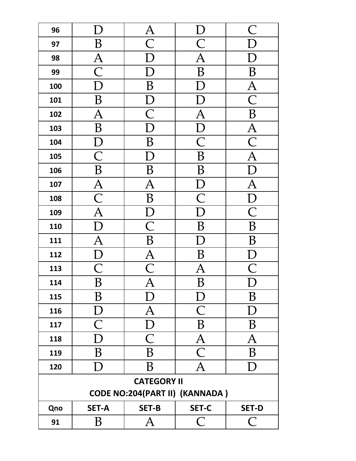| 96  |                          | $\bm{A}$                       |                                       | $\, \subset\,$                      |  |  |
|-----|--------------------------|--------------------------------|---------------------------------------|-------------------------------------|--|--|
| 97  | B                        | $\overline{\textstyle\bigcap}$ | $\bigcap$                             |                                     |  |  |
| 98  | $\overline{\mathrm{A}}$  |                                | A                                     |                                     |  |  |
| 99  | $\overline{\text{C}}$    |                                | B                                     | B                                   |  |  |
| 100 |                          | $\overline{\mathrm{B}}$        |                                       | $\overline{A}$                      |  |  |
| 101 | B                        | $\bm{\mathrm{D}}$              |                                       | $\overline{\overline{\mathsf{C}}}$  |  |  |
| 102 | $\overline{\mathrm{A}}$  | $\overline{\mathsf{C}}$        | $\overline{\mathsf{A}}$               | $\, {\bf B}$                        |  |  |
| 103 | B                        | D                              | $\overline{\rm D}$                    | $\overline{\rm A}$                  |  |  |
| 104 | $\mathbf D$              | B                              | $\overline{\textsf{C}}$               | $\overline{\mathsf{C}}$             |  |  |
| 105 | $\overline{\mathsf{C}}$  | $\overline{D}$                 | B                                     | $\overline{\rm A}$                  |  |  |
| 106 | B                        | B                              | B                                     | $\overline{\mathord{\text{\rm L}}}$ |  |  |
| 107 | $\overline{A}$           | $\overline{A}$                 | $\Gamma$                              | $\overline{\mathsf{A}}$             |  |  |
| 108 | $\overline{\text{C}}$    | B                              | $\overline{\overline{\mathsf{C}}}$    | $\Gamma$                            |  |  |
| 109 | $\overline{\text{A}}$    | $\overline{D}$                 |                                       | $\overline{\textsf{C}}$             |  |  |
| 110 | $\overline{\rm D}$       | $\overline{\text{C}}$          | B                                     | B                                   |  |  |
| 111 | $\overline{A}$           | $\overline{B}$                 | Г                                     | B                                   |  |  |
| 112 |                          | $\frac{\overline{A}}{C}$       | B                                     | $\overline{D}$                      |  |  |
| 113 | $\frac{\overline{D}}{C}$ |                                | $\overline{A}$                        | $\overline{\mathsf{C}}$             |  |  |
| 114 | $\overline{B}$           | $\overline{\mathbf{A}}$        | $\overline{B}$                        | $\overline{D}$                      |  |  |
| 115 | B                        | D                              | $\mathbf{D}$                          | B                                   |  |  |
| 116 | $\mathbf D$              | $\bm{\mathsf{A}}$              | $\overline{\mathsf{C}}$               | D                                   |  |  |
| 117 | $\overline{\mathsf{C}}$  | D                              | $\overline{B}$                        | B                                   |  |  |
| 118 | $\overline{\rm D}$       | $\overline{\mathsf{C}}$        | $\overline{A}$                        | $\overline{\mathrm{A}}$             |  |  |
| 119 | B                        | B                              | $\overline{\overline{\mathsf{C}}}$    | B                                   |  |  |
| 120 | D                        | B                              | $\overline{\mathsf{A}}$               | D                                   |  |  |
|     | <b>CATEGORY II</b>       |                                |                                       |                                     |  |  |
|     |                          |                                | <b>CODE NO:204(PART II) (KANNADA)</b> |                                     |  |  |
| Qno | <b>SET-A</b>             | <b>SET-B</b>                   | <b>SET-C</b>                          | <b>SET-D</b>                        |  |  |
| 91  | B                        | $\mathbf{A}$                   | $\bigcap$                             | $\overline{C}$                      |  |  |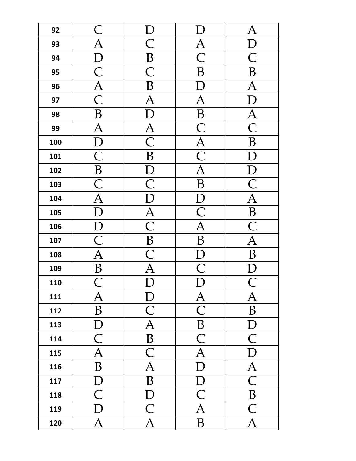| 92  | $\overline{\mathsf{C}}$        |                                     |                                    | $\bm{A}$                |
|-----|--------------------------------|-------------------------------------|------------------------------------|-------------------------|
| 93  | $\overline{A}$                 | $\overline{C}$                      | $\overline{A}$                     |                         |
| 94  | $\overline{\mathrm{D}}$        | B                                   | $\overline{\overline{\mathsf{C}}}$ | $\overline{\mathsf{C}}$ |
| 95  | $\overline{\mathsf{C}}$        | $\overline{\mathsf{C}}$             | B                                  | B                       |
| 96  | $\overline{A}$                 | B                                   | Г                                  | $\overline{A}$          |
| 97  | $\overline{\mathsf{C}}$        | $\overline{A}$                      | $\overline{A}$                     | $\overline{\rm D}$      |
| 98  | B                              | D                                   | B                                  | $\overline{A}$          |
| 99  | $\overline{A}$                 | $\overline{A}$                      | $\overline{\mathsf{C}}$            | $\overline{\text{C}}$   |
| 100 | $\mathbf D$                    | $\overline{\mathsf{C}}$             | $\overline{A}$                     | B                       |
| 101 | $\overline{\mathsf{C}}$        | B                                   | $\overline{\text{C}}$              |                         |
| 102 | $\overline{B}$                 |                                     | $\overline{\overline{\bm{A}}}$     |                         |
| 103 | $\overline{\text{C}}$          | $\frac{\overline{D}}{C}$            | $\overline{B}$                     | $\overline{\mathsf{C}}$ |
| 104 | $\overline{\overline{\bm{A}}}$ | $\overline{\mathrm{D}}$             | $\mathbf{D}$                       | $\overline{A}$          |
| 105 | D                              | $\frac{\overline{A}}{\overline{C}}$ | $\overline{\mathsf{C}}$            | $\overline{B}$          |
| 106 |                                |                                     | $\overline{\bm{A}}$                | $\overline{\mathsf{C}}$ |
| 107 | $\frac{D}{C}$                  | $\overline{B}$                      | B                                  | $\overline{\mathsf{A}}$ |
| 108 | $\overline{\rm A}$             | $\overline{\mathsf{C}}$             | $\Gamma$                           | $\overline{\mathrm{B}}$ |
| 109 | $\overline{B}$                 | $\overline{\rm A}$                  | $\overline{\textsf{C}}$            |                         |
| 110 | $\overline{\mathsf{C}}$        | $\mathbf{D}$                        | $\overline{D}$                     |                         |
| 111 | $\mathbf{A}$                   | $\mathbf{D}$                        | $\mathbf{A}$                       | $\overline{A}$          |
| 112 | $\, {\bf B}$                   | $\overline{\mathsf{C}}$             | $\overline{\mathsf{C}}$            | $\, {\bf B}$            |
| 113 | $\overline{D}$                 | $\overline{\mathbf{A}}$             | $\overline{B}$                     | D                       |
| 114 | $\overline{\mathsf{C}}$        | $\overline{B}$                      | $\overline{\text{C}}$              | $\overline{\text{C}}$   |
| 115 | $\overline{\mathbf{A}}$        | $\overline{\mathsf{C}}$             | $\overline{\mathbf{A}}$            | $\overline{\mathrm{D}}$ |
| 116 | $\overline{B}$                 | $\overline{A}$                      | $\overline{D}$                     | $\overline{\bm{A}}$     |
| 117 | D                              | $\overline{\mathbf{B}}$             | $\overline{\overline{\mathrm{D}}}$ | $\overline{\text{C}}$   |
| 118 | $\overline{\mathsf{C}}$        | ${\mathcal{D}}$                     | $\overline{\textsf{C}}$            | $\, {\bf B}$            |
| 119 | D                              | $\overline{\mathsf{C}}$             | $\overline{A}$                     | $\overline{\text{C}}$   |
| 120 | $\overline{A}$                 | $\overline{A}$                      | B                                  | $\overline{A}$          |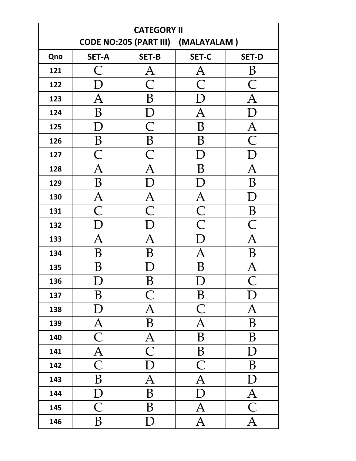| <b>CATEGORY II</b> |                          |                                             |                                        |                         |
|--------------------|--------------------------|---------------------------------------------|----------------------------------------|-------------------------|
|                    |                          | <b>CODE NO:205 (PART III)</b>               | (MALAYALAM)                            |                         |
| Qno                | <b>SET-A</b>             | <b>SET-B</b>                                | <b>SET-C</b>                           | <b>SET-D</b>            |
| 121                | $\bigcap$                | $\bm{\mathsf{A}}$                           | A                                      | B                       |
| 122                | D                        | $\overline{\mathsf{C}}$                     | $\overline{\mathsf{C}}$                | $\subset$               |
| 123                | $\bm{\mathsf{A}}$        | B                                           | D                                      | $\overline{\mathrm{A}}$ |
| 124                | B                        | D                                           | $\overline{\rm A}$                     | D                       |
| 125                | D                        | $\mathsf{C}% _{M_{1},M_{2}}^{\alpha,\beta}$ | B                                      | $\rm A$                 |
| 126                | B                        | B                                           | B                                      | $\overline{\bigcap}$    |
| 127                | $\overline{\mathsf{C}}$  | $\overline{\mathsf{C}}$                     |                                        |                         |
| 128                | $\overline{\rm A}$       | $\overline{\rm A}$                          | B                                      | $\overline{\mathrm{A}}$ |
| 129                | B                        |                                             |                                        | B                       |
| 130                | $\bm{A}$                 | $\overline{A}$                              | $\mathbf{A}$                           |                         |
| 131                | $\overline{C}$           | $\overline{\mathsf{C}}$                     | $\overline{\frac{\text{C}}{\text{C}}}$ | B                       |
| 132                | D                        |                                             |                                        | $\overline{C}$          |
| 133                | $\overline{A}$           | $\overline{A}$                              |                                        | $\overline{A}$          |
| 134                | B                        | B                                           | $\overline{\rm A}$                     | B                       |
| 135                | B                        |                                             | B                                      | $\overline{\mathrm{A}}$ |
| 136                | ◡                        | B                                           | ◡                                      |                         |
| 137                | $\boldsymbol{B}$         | $\mathsf C$                                 | $\boldsymbol{B}$                       | $\mathbf{D}$            |
| 138                | $\mathbf{D}$             | $\overline{A}$                              | $\overline{\mathsf{C}}$                | $\overline{A}$          |
| 139                | $\underline{A}$          | $\overline{\mathbf{B}}$                     | $\overline{A}$                         | $\, {\bf B}$            |
| 140                | $\overline{\mathsf{C}}$  | $\overline{A}$                              | $\overline{B}$                         | $\, {\bf B}$            |
| 141                | $\frac{\overline{A}}{C}$ | $\overline{\text{C}}$                       | $\, {\bf B}$                           | D                       |
| 142                |                          | $\overline{D}$                              | $\overline{\mathsf{C}}$                | $\, {\bf B}$            |
| 143                | $\overline{B}$           | $\overline{A}$                              | $\overline{A}$                         | $\mathbf{D}$            |
| 144                | $\mathbf D$              | $\overline{B}$                              | $\overline{D}$                         | $\overline{A}$          |
| 145                | $\overline{\mathsf{C}}$  | B                                           | $\overline{A}$                         | $\overline{\mathsf{C}}$ |
| 146                | $\overline{B}$           | D                                           | $\overline{\text{A}}$                  | $\overline{\text{A}}$   |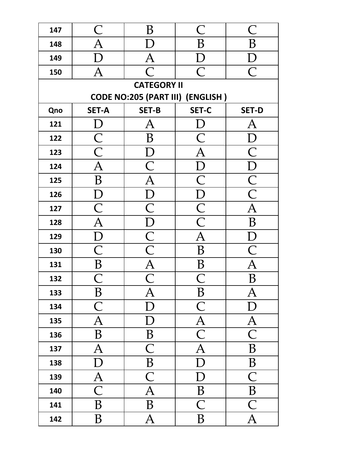| 147                | $\mathsf{C}% _{M_{1},M_{2}}^{\alpha,\beta}(\varepsilon)=\mathsf{C}_{M_{1},M_{2}}^{\alpha,\beta}(\varepsilon)$ | B                                                                       | $\mathsf{C}% _{M_{1},M_{2}}^{\alpha,\beta}(-\varepsilon)=\mathsf{C}_{M_{1},M_{2}}^{\alpha,\beta}(\varepsilon)$ | $\bigcap$                 |  |  |
|--------------------|---------------------------------------------------------------------------------------------------------------|-------------------------------------------------------------------------|----------------------------------------------------------------------------------------------------------------|---------------------------|--|--|
| 148                | $\overline{A}$                                                                                                | $\vert$ )                                                               | B                                                                                                              | $\overline{B}$            |  |  |
| 149                | D                                                                                                             | $\overline{A}$                                                          | ${\rm D}$                                                                                                      |                           |  |  |
| 150                | $\overline{A}$                                                                                                | $\overline{\bigcap}$                                                    | $\overline{\overline{\mathsf{C}}}$                                                                             | $\overline{\overline{C}}$ |  |  |
| <b>CATEGORY II</b> |                                                                                                               |                                                                         |                                                                                                                |                           |  |  |
|                    |                                                                                                               |                                                                         | CODE NO:205 (PART III) (ENGLISH)                                                                               |                           |  |  |
| Qno                | <b>SET-A</b>                                                                                                  | <b>SET-B</b>                                                            | <b>SET-C</b>                                                                                                   | <b>SET-D</b>              |  |  |
| 121                | $\boldsymbol{\rm D}$                                                                                          | $\bm{\mathsf{A}}$                                                       | $\rm D$                                                                                                        | $\bm{\mathsf{A}}$         |  |  |
| 122                | $\frac{\overline{C}}{\overline{C}}$                                                                           | B                                                                       | $\mathsf{C}% _{0}$                                                                                             | $\overline{\rm D}$        |  |  |
| 123                |                                                                                                               | $\mathbf{D}$                                                            | $\overline{A}$                                                                                                 | $\overline{C}$            |  |  |
| 124                | $\overline{A}$                                                                                                | $\overline{C}$                                                          | $\overline{D}$                                                                                                 | $\overline{D}$            |  |  |
| 125                | $\, {\bf B}$                                                                                                  | $\overline{A}$                                                          | $\overline{\mathsf{C}}$                                                                                        | $\overline{\frac{C}{C}}$  |  |  |
| 126                | $\mathbf{D}$                                                                                                  | $\mathbf{D}$                                                            | $\overline{D}$                                                                                                 |                           |  |  |
| 127                | $\overline{\textsf{C}}$                                                                                       | $\overline{\text{C}}$                                                   | $\overline{\frac{C}{C}}$                                                                                       | $\overline{\mathbf{A}}$   |  |  |
| 128                | $\overline{A}$                                                                                                | $\frac{\overline{D}}{\overline{C}}$ $\frac{\overline{C}}{\overline{A}}$ |                                                                                                                | $\overline{B}$            |  |  |
| 129                | $\overline{D}$                                                                                                |                                                                         | $\overline{\mathbf{A}}$                                                                                        | $\overline{D}$            |  |  |
| 130                | $\overline{\mathsf{C}}$                                                                                       |                                                                         | $\overline{B}$                                                                                                 | $\overline{C}$            |  |  |
| 131                | $\overline{B}$                                                                                                |                                                                         | $\, {\bf B}$                                                                                                   | $\overline{\mathbf{A}}$   |  |  |
| 132                | $\overline{\bigcap}$                                                                                          | $\overline{\bigcap}$                                                    | $\bigcap$                                                                                                      | $\overline{B}$            |  |  |
| 133                | B                                                                                                             | Α                                                                       | B                                                                                                              | $\bm{\mathsf{A}}$         |  |  |
| 134                | $\overline{C}$                                                                                                |                                                                         | $\overline{\mathsf{C}}$                                                                                        | Г                         |  |  |
| 135                | $\overline{A}$                                                                                                |                                                                         | $\overline{A}$                                                                                                 | $\bm{\mathsf{A}}$         |  |  |
| 136                | B                                                                                                             | B                                                                       | $\overline{\text{C}}$                                                                                          | $\overline{C}$            |  |  |
| 137                | A                                                                                                             | $\overline{\mathsf{C}}$                                                 | $\overline{\mathsf{A}}$                                                                                        | B                         |  |  |
| 138                |                                                                                                               | B                                                                       |                                                                                                                | B                         |  |  |
| 139                | $\bm{\mathsf{A}}$                                                                                             | $\overline{\mathsf{C}}$                                                 |                                                                                                                | $\bigcap$                 |  |  |
| 140                | $\overline{\mathsf{C}}$                                                                                       | $\overline{A}$                                                          | B                                                                                                              | B                         |  |  |
| 141                | B                                                                                                             | B                                                                       | $\overline{\mathsf{C}}$                                                                                        | $\overline{\mathsf{C}}$   |  |  |
| 142                | B                                                                                                             | $\bm{\mathsf{A}}$                                                       | B                                                                                                              | $\overline{A}$            |  |  |